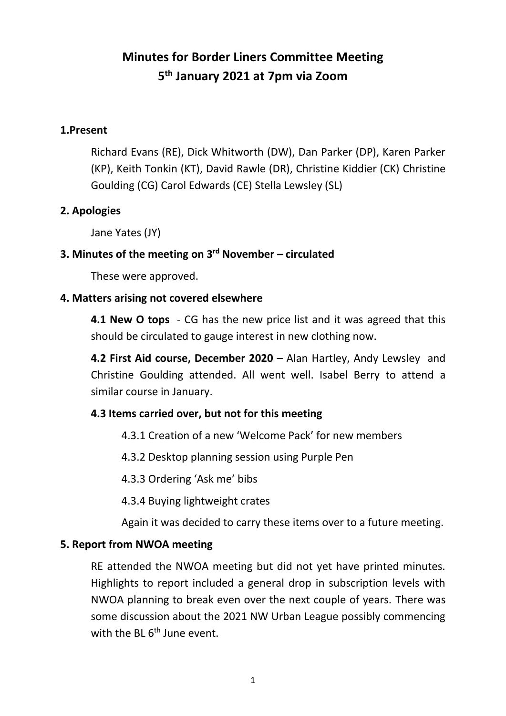# **Minutes for Border Liners Committee Meeting 5 th January 2021 at 7pm via Zoom**

#### **1.Present**

Richard Evans (RE), Dick Whitworth (DW), Dan Parker (DP), Karen Parker (KP), Keith Tonkin (KT), David Rawle (DR), Christine Kiddier (CK) Christine Goulding (CG) Carol Edwards (CE) Stella Lewsley (SL)

### **2. Apologies**

Jane Yates (JY)

### **3. Minutes of the meeting on 3 rd November – circulated**

These were approved.

### **4. Matters arising not covered elsewhere**

**4.1 New O tops** - CG has the new price list and it was agreed that this should be circulated to gauge interest in new clothing now.

**4.2 First Aid course, December 2020** – Alan Hartley, Andy Lewsley and Christine Goulding attended. All went well. Isabel Berry to attend a similar course in January.

### **4.3 Items carried over, but not for this meeting**

- 4.3.1 Creation of a new 'Welcome Pack' for new members
- 4.3.2 Desktop planning session using Purple Pen

4.3.3 Ordering 'Ask me' bibs

4.3.4 Buying lightweight crates

Again it was decided to carry these items over to a future meeting.

### **5. Report from NWOA meeting**

RE attended the NWOA meeting but did not yet have printed minutes. Highlights to report included a general drop in subscription levels with NWOA planning to break even over the next couple of years. There was some discussion about the 2021 NW Urban League possibly commencing with the BL 6<sup>th</sup> June event.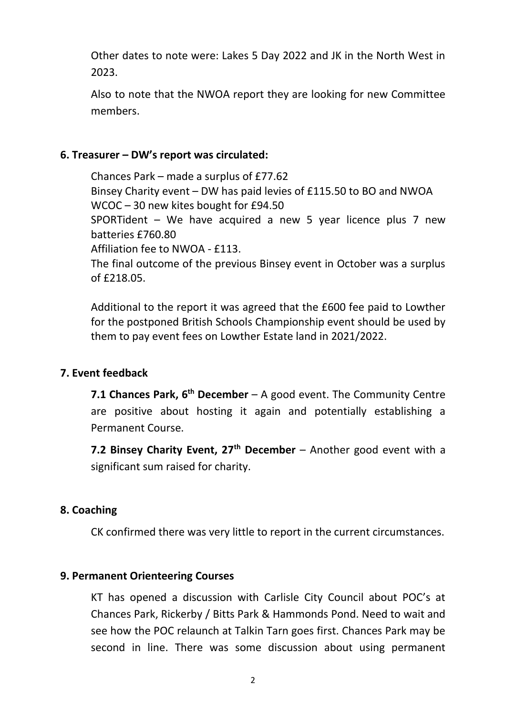Other dates to note were: Lakes 5 Day 2022 and JK in the North West in 2023.

Also to note that the NWOA report they are looking for new Committee members.

#### **6. Treasurer – DW's report was circulated:**

Chances Park – made a surplus of £77.62 Binsey Charity event – DW has paid levies of £115.50 to BO and NWOA WCOC – 30 new kites bought for £94.50 SPORTident – We have acquired a new 5 year licence plus 7 new batteries £760.80 Affiliation fee to NWOA - £113. The final outcome of the previous Binsey event in October was a surplus of £218.05.

Additional to the report it was agreed that the £600 fee paid to Lowther for the postponed British Schools Championship event should be used by them to pay event fees on Lowther Estate land in 2021/2022.

#### **7. Event feedback**

**7.1 Chances Park, 6<sup>th</sup> December** – A good event. The Community Centre are positive about hosting it again and potentially establishing a Permanent Course.

**7.2 Binsey Charity Event, 27th December** – Another good event with a significant sum raised for charity.

#### **8. Coaching**

CK confirmed there was very little to report in the current circumstances.

#### **9. Permanent Orienteering Courses**

KT has opened a discussion with Carlisle City Council about POC's at Chances Park, Rickerby / Bitts Park & Hammonds Pond. Need to wait and see how the POC relaunch at Talkin Tarn goes first. Chances Park may be second in line. There was some discussion about using permanent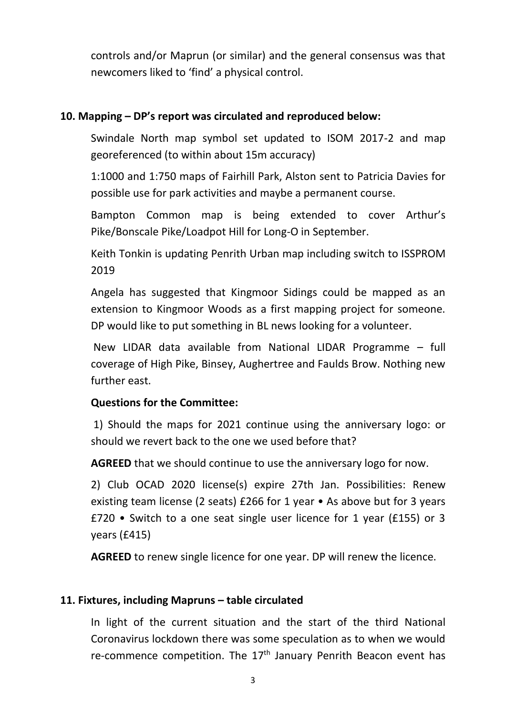controls and/or Maprun (or similar) and the general consensus was that newcomers liked to 'find' a physical control.

### **10. Mapping – DP's report was circulated and reproduced below:**

Swindale North map symbol set updated to ISOM 2017-2 and map georeferenced (to within about 15m accuracy)

1:1000 and 1:750 maps of Fairhill Park, Alston sent to Patricia Davies for possible use for park activities and maybe a permanent course.

Bampton Common map is being extended to cover Arthur's Pike/Bonscale Pike/Loadpot Hill for Long-O in September.

Keith Tonkin is updating Penrith Urban map including switch to ISSPROM 2019

Angela has suggested that Kingmoor Sidings could be mapped as an extension to Kingmoor Woods as a first mapping project for someone. DP would like to put something in BL news looking for a volunteer.

New LIDAR data available from National LIDAR Programme – full coverage of High Pike, Binsey, Aughertree and Faulds Brow. Nothing new further east.

#### **Questions for the Committee:**

1) Should the maps for 2021 continue using the anniversary logo: or should we revert back to the one we used before that?

**AGREED** that we should continue to use the anniversary logo for now.

2) Club OCAD 2020 license(s) expire 27th Jan. Possibilities: Renew existing team license (2 seats) £266 for 1 year • As above but for 3 years £720 • Switch to a one seat single user licence for 1 year (£155) or 3 years (£415)

**AGREED** to renew single licence for one year. DP will renew the licence.

### **11. Fixtures, including Mapruns – table circulated**

In light of the current situation and the start of the third National Coronavirus lockdown there was some speculation as to when we would re-commence competition. The  $17<sup>th</sup>$  January Penrith Beacon event has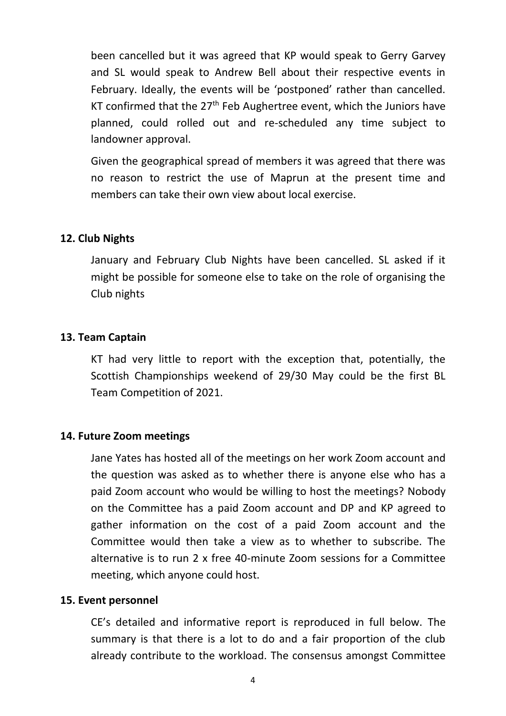been cancelled but it was agreed that KP would speak to Gerry Garvey and SL would speak to Andrew Bell about their respective events in February. Ideally, the events will be 'postponed' rather than cancelled. KT confirmed that the  $27<sup>th</sup>$  Feb Aughertree event, which the Juniors have planned, could rolled out and re-scheduled any time subject to landowner approval.

Given the geographical spread of members it was agreed that there was no reason to restrict the use of Maprun at the present time and members can take their own view about local exercise.

#### **12. Club Nights**

January and February Club Nights have been cancelled. SL asked if it might be possible for someone else to take on the role of organising the Club nights

#### **13. Team Captain**

KT had very little to report with the exception that, potentially, the Scottish Championships weekend of 29/30 May could be the first BL Team Competition of 2021.

#### **14. Future Zoom meetings**

Jane Yates has hosted all of the meetings on her work Zoom account and the question was asked as to whether there is anyone else who has a paid Zoom account who would be willing to host the meetings? Nobody on the Committee has a paid Zoom account and DP and KP agreed to gather information on the cost of a paid Zoom account and the Committee would then take a view as to whether to subscribe. The alternative is to run 2 x free 40-minute Zoom sessions for a Committee meeting, which anyone could host.

#### **15. Event personnel**

CE's detailed and informative report is reproduced in full below. The summary is that there is a lot to do and a fair proportion of the club already contribute to the workload. The consensus amongst Committee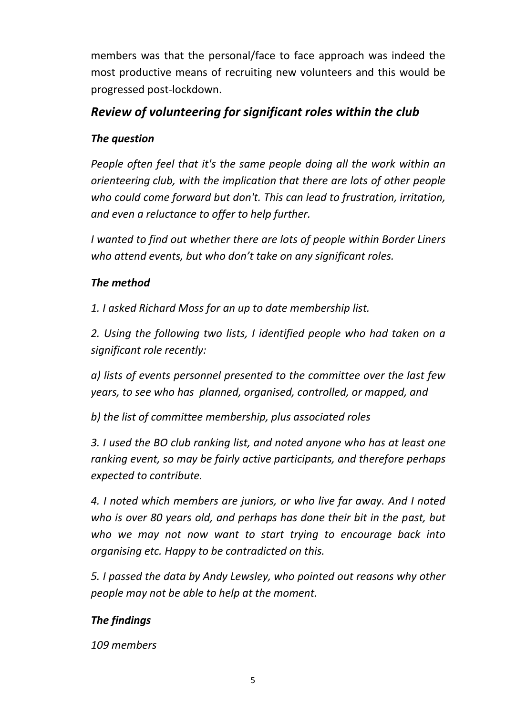members was that the personal/face to face approach was indeed the most productive means of recruiting new volunteers and this would be progressed post-lockdown.

## *Review of volunteering for significant roles within the club*

### *The question*

*People often feel that it's the same people doing all the work within an orienteering club, with the implication that there are lots of other people who could come forward but don't. This can lead to frustration, irritation, and even a reluctance to offer to help further.*

*I wanted to find out whether there are lots of people within Border Liners who attend events, but who don't take on any significant roles.*

### *The method*

*1. I asked Richard Moss for an up to date membership list.* 

*2. Using the following two lists, I identified people who had taken on a significant role recently:*

*a) lists of events personnel presented to the committee over the last few years, to see who has planned, organised, controlled, or mapped, and*

*b) the list of committee membership, plus associated roles*

*3. I used the BO club ranking list, and noted anyone who has at least one ranking event, so may be fairly active participants, and therefore perhaps expected to contribute.*

*4. I noted which members are juniors, or who live far away. And I noted who is over 80 years old, and perhaps has done their bit in the past, but who we may not now want to start trying to encourage back into organising etc. Happy to be contradicted on this.*

*5. I passed the data by Andy Lewsley, who pointed out reasons why other people may not be able to help at the moment.*

### *The findings*

*109 members*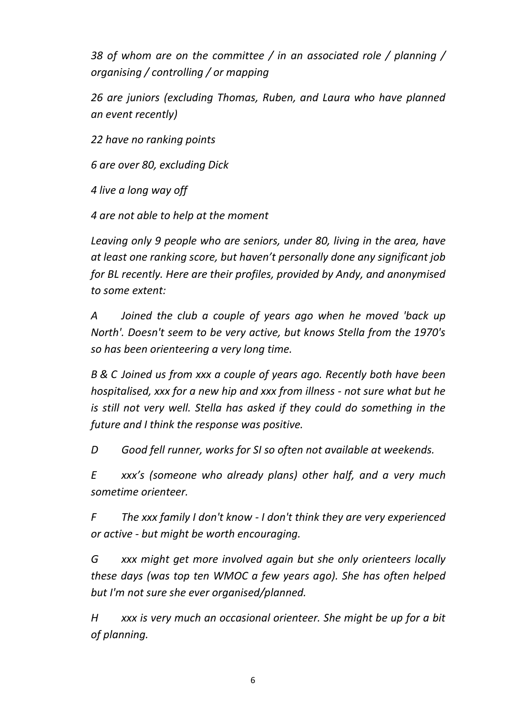*38 of whom are on the committee / in an associated role / planning / organising / controlling / or mapping*

*26 are juniors (excluding Thomas, Ruben, and Laura who have planned an event recently)*

*22 have no ranking points*

*6 are over 80, excluding Dick*

*4 live a long way off*

*4 are not able to help at the moment*

*Leaving only 9 people who are seniors, under 80, living in the area, have at least one ranking score, but haven't personally done any significant job for BL recently. Here are their profiles, provided by Andy, and anonymised to some extent:*

*A Joined the club a couple of years ago when he moved 'back up North'. Doesn't seem to be very active, but knows Stella from the 1970's so has been orienteering a very long time.*

*B & C Joined us from xxx a couple of years ago. Recently both have been hospitalised, xxx for a new hip and xxx from illness - not sure what but he is still not very well. Stella has asked if they could do something in the future and I think the response was positive.*

*D Good fell runner, works for SI so often not available at weekends.*

*E xxx's (someone who already plans) other half, and a very much sometime orienteer.*

*F The xxx family I don't know - I don't think they are very experienced or active - but might be worth encouraging.*

*G xxx might get more involved again but she only orienteers locally these days (was top ten WMOC a few years ago). She has often helped but I'm not sure she ever organised/planned.*

*H xxx is very much an occasional orienteer. She might be up for a bit of planning.*